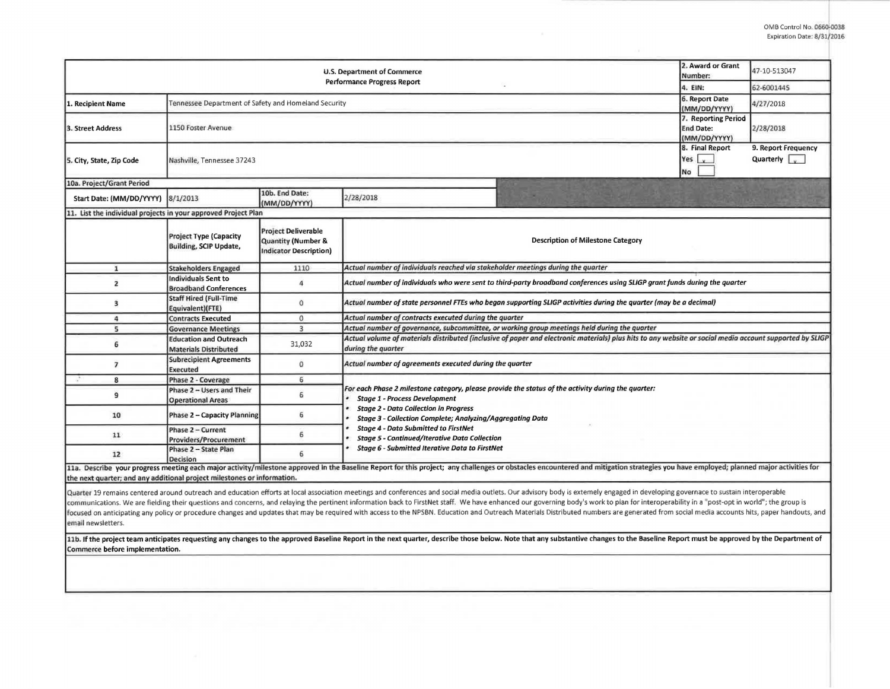| <b>U.S. Department of Commerce</b><br><b>Performance Progress Report</b> |                                                                |                                                                                   |                                                                                                                                                                                                                                                         |                                                                                                                                                                                                                                                                                                                                                                                                                                                                  |  | 47-10-513047                                          |  |  |  |  |
|--------------------------------------------------------------------------|----------------------------------------------------------------|-----------------------------------------------------------------------------------|---------------------------------------------------------------------------------------------------------------------------------------------------------------------------------------------------------------------------------------------------------|------------------------------------------------------------------------------------------------------------------------------------------------------------------------------------------------------------------------------------------------------------------------------------------------------------------------------------------------------------------------------------------------------------------------------------------------------------------|--|-------------------------------------------------------|--|--|--|--|
|                                                                          |                                                                |                                                                                   |                                                                                                                                                                                                                                                         |                                                                                                                                                                                                                                                                                                                                                                                                                                                                  |  | 62-6001445                                            |  |  |  |  |
| 1. Recipient Name                                                        | Tennessee Department of Safety and Homeland Security           |                                                                                   |                                                                                                                                                                                                                                                         |                                                                                                                                                                                                                                                                                                                                                                                                                                                                  |  | 4/27/2018                                             |  |  |  |  |
| 3. Street Address                                                        | 1150 Foster Avenue                                             |                                                                                   | 7. Reporting Period<br><b>End Date:</b><br>(MM/DD/YYYY)                                                                                                                                                                                                 | 2/28/2018                                                                                                                                                                                                                                                                                                                                                                                                                                                        |  |                                                       |  |  |  |  |
| 5. City, State, Zip Code                                                 | Nashville, Tennessee 37243                                     |                                                                                   |                                                                                                                                                                                                                                                         |                                                                                                                                                                                                                                                                                                                                                                                                                                                                  |  | 9. Report Frequency<br>Quarterly $\sqrt{\phantom{a}}$ |  |  |  |  |
| 10a. Project/Grant Period                                                |                                                                |                                                                                   |                                                                                                                                                                                                                                                         |                                                                                                                                                                                                                                                                                                                                                                                                                                                                  |  |                                                       |  |  |  |  |
| Start Date: (MM/DD/YYYY)                                                 | 8/1/2013                                                       | 10b. End Date:<br>(MM/DD/YYYY)                                                    | 2/28/2018                                                                                                                                                                                                                                               |                                                                                                                                                                                                                                                                                                                                                                                                                                                                  |  |                                                       |  |  |  |  |
| 11. List the individual projects in your approved Project Plan           |                                                                |                                                                                   |                                                                                                                                                                                                                                                         |                                                                                                                                                                                                                                                                                                                                                                                                                                                                  |  |                                                       |  |  |  |  |
|                                                                          | <b>Project Type (Capacity</b><br><b>Building, SCIP Update,</b> | <b>Project Deliverable</b><br>Quantity (Number &<br><b>Indicator Description)</b> |                                                                                                                                                                                                                                                         | <b>Description of Milestone Category</b>                                                                                                                                                                                                                                                                                                                                                                                                                         |  |                                                       |  |  |  |  |
| $\mathbf{1}$                                                             | <b>Stakeholders Engaged</b>                                    | 1110                                                                              | Actual number of individuals reached via stakeholder meetings during the quarter                                                                                                                                                                        |                                                                                                                                                                                                                                                                                                                                                                                                                                                                  |  |                                                       |  |  |  |  |
| $\overline{c}$                                                           | <b>Individuals Sent to</b><br><b>Broadband Conferences</b>     | 4                                                                                 | Actual number of individuals who were sent to third-party broadband conferences using SLIGP grant funds during the quarter                                                                                                                              |                                                                                                                                                                                                                                                                                                                                                                                                                                                                  |  |                                                       |  |  |  |  |
| 3                                                                        | <b>Staff Hired (Full-Time</b><br>Equivalent)(FTE)              | o                                                                                 | Actual number of state personnel FTEs who began supporting SLIGP activities during the quarter (may be a decimal)                                                                                                                                       |                                                                                                                                                                                                                                                                                                                                                                                                                                                                  |  |                                                       |  |  |  |  |
| 4                                                                        | <b>Contracts Executed</b>                                      | $\mathbf 0$                                                                       | Actual number of contracts executed during the quarter                                                                                                                                                                                                  |                                                                                                                                                                                                                                                                                                                                                                                                                                                                  |  |                                                       |  |  |  |  |
| 5                                                                        | <b>Governance Meetings</b>                                     | $\overline{3}$                                                                    | Actual number of governance, subcommittee, or working group meetings held during the quarter                                                                                                                                                            |                                                                                                                                                                                                                                                                                                                                                                                                                                                                  |  |                                                       |  |  |  |  |
| 6                                                                        | <b>Education and Outreach</b><br><b>Materials Distributed</b>  | 31,032                                                                            | Actual volume of materials distributed (inclusive of paper and electronic materials) plus hits to any website or social media account supported by SLIGP<br>during the quarter                                                                          |                                                                                                                                                                                                                                                                                                                                                                                                                                                                  |  |                                                       |  |  |  |  |
| $\overline{ }$                                                           | <b>Subrecipient Agreements</b><br>Executed                     | 0                                                                                 | Actual number of agreements executed during the quarter                                                                                                                                                                                                 |                                                                                                                                                                                                                                                                                                                                                                                                                                                                  |  |                                                       |  |  |  |  |
| 8                                                                        | Phase 2 - Coverage                                             | 6                                                                                 |                                                                                                                                                                                                                                                         |                                                                                                                                                                                                                                                                                                                                                                                                                                                                  |  |                                                       |  |  |  |  |
| 9                                                                        | Phase 2 - Users and Their<br><b>Operational Areas</b>          | 6                                                                                 | For each Phase 2 milestone category, please provide the status of the activity during the quarter:<br><b>Stage 1 - Process Development</b><br><b>Stage 2 - Data Collection in Progress</b><br>Stage 3 - Collection Complete; Analyzing/Aggregating Data |                                                                                                                                                                                                                                                                                                                                                                                                                                                                  |  |                                                       |  |  |  |  |
| 10                                                                       | Phase 2 - Capacity Planning                                    | 6                                                                                 |                                                                                                                                                                                                                                                         |                                                                                                                                                                                                                                                                                                                                                                                                                                                                  |  |                                                       |  |  |  |  |
| 11                                                                       | Phase 2 - Current<br>Providers/Procurement                     | 6                                                                                 | <b>Stage 4 - Data Submitted to FirstNet</b><br><b>Stage 5 - Continued/Iterative Data Collection</b><br><b>Stage 6 - Submitted Iterative Data to FirstNet</b>                                                                                            |                                                                                                                                                                                                                                                                                                                                                                                                                                                                  |  |                                                       |  |  |  |  |
| 12                                                                       | Phase 2 - State Plan<br>Decision                               | 6                                                                                 |                                                                                                                                                                                                                                                         |                                                                                                                                                                                                                                                                                                                                                                                                                                                                  |  |                                                       |  |  |  |  |
| the next quarter; and any additional project milestones or information.  |                                                                |                                                                                   |                                                                                                                                                                                                                                                         | 11a. Describe your progress meeting each major activity/milestone approved in the Baseline Report for this project; any challenges or obstacles encountered and mitigation strategies you have employed; planned major activit<br>Quarter 19 remains centered around outreach and education efforts at local association meetings and conferences and social media outlets. Our advisory body is extemely engaged in developing governace to sustain interoperab |  |                                                       |  |  |  |  |
|                                                                          |                                                                |                                                                                   |                                                                                                                                                                                                                                                         | in the company of the company of the contract of the contract of the contract of the based of contract of the balls and balls and balls and balls and the balls of the contract of the contract of the contract of the contrac                                                                                                                                                                                                                                   |  |                                                       |  |  |  |  |

communications. We are fielding their questions and concerns, and relaying the pertinent information back to FirstNet staff. We have enhanced our governing body's work to plan for interoperability in a "post-opt in world"; focused on anticipating any policy or procedure changes and updates that may be required with access to the NPSBN. Education and Outreach Materials Distributed numbers are generated from social media accounts hits, paper h **email** newsletters.

11b. If the project team anticipates requesting any changes to the approved Baseline Report in the next quarter, describe those below. Note that any substantive changes to the Baseline Report must be approved by the Depart Commerce before implementation.